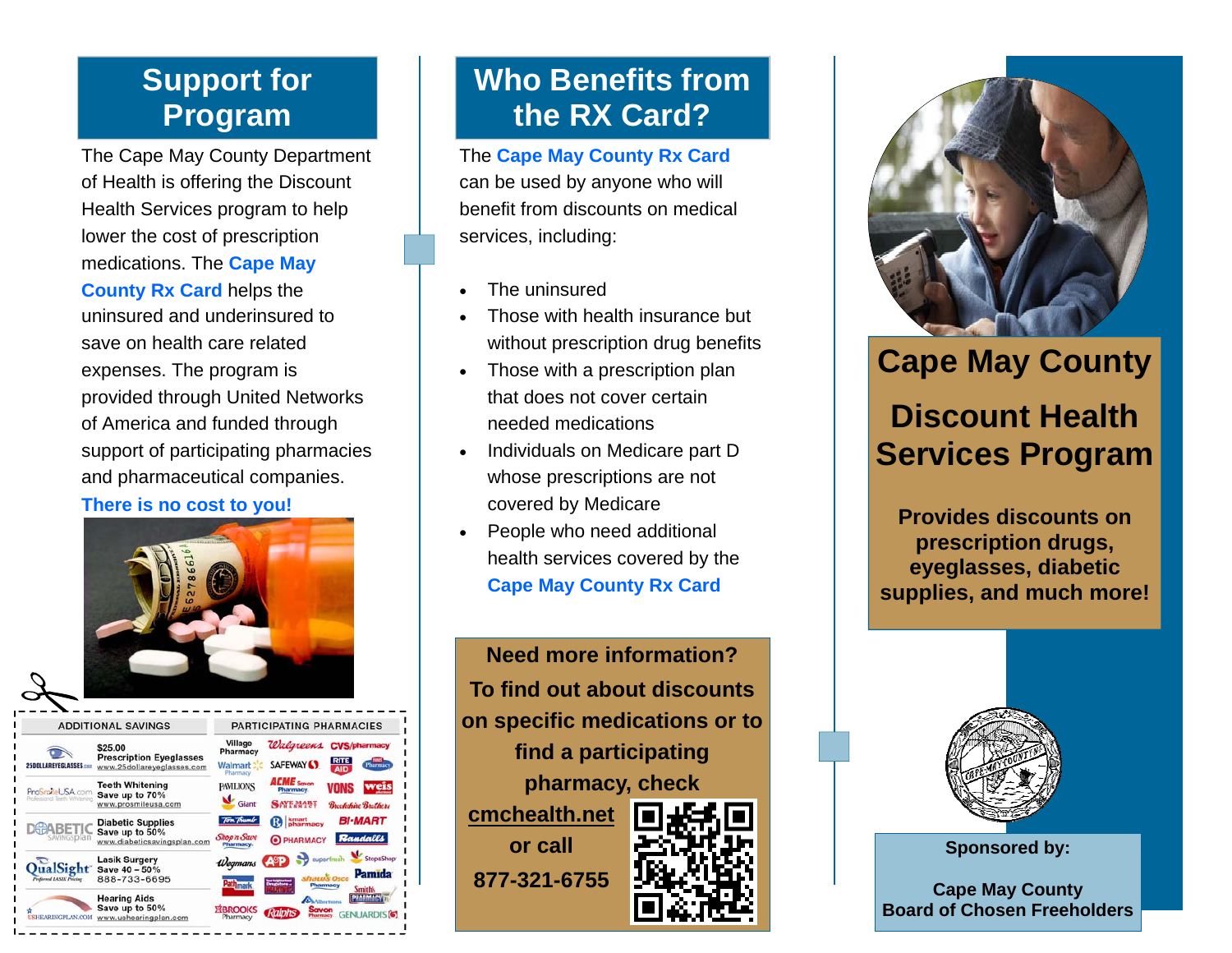### **Support for Program**

The Cape May County Department of Health is offering the Discount Health Services program to help lower the cost of prescription medications. The **Cape May County Rx Card** helps the uninsured and underinsured to save on health care related expenses. The program is provided through United Networks of America and funded through support of participating pharmacies and pharmaceutical companies.

#### **There is no cost to you!**



**ADDITIONAL SAVINGS** PARTICIPATING PHARMACIES Village \$25.00 **Prescription Eyeglasses** Walmart: www.25dollareyeglasses.com **Teeth Whitening PAVILIONS** ProSpotel JSA co Save up to 70% www.prosmileusa.con **Diabetic Supplies** Save up to 50% www.diabeticsavingsplan.co Lasik Surgery QualSight save 40 - 50% 888-733-6695 **Hearing Aids** Save up to 50%

# **Who Benefits from the RX Card?**

The **Cape May County Rx Card**  can be used by anyone who will benefit from discounts on medical services, including:

- $\bullet$ The uninsured
- $\bullet$  Those with health insurance but without prescription drug benefits
- $\bullet$  Those with a prescription plan that does not cover certain needed medications
- $\bullet$  Individuals on Medicare part D whose prescriptions are not covered by Medicare
- $\bullet$  People who need additional health services covered by the **Cape May County Rx Card**

**Need more information? To find out about discounts on specific medications or to find a participating pharmacy, check cmchealth.net or call 877-321-6755**



# **Cape May County**

# **Discount Health Services Program**

**Provides discounts on prescription drugs, eyeglasses, diabetic supplies, and much more!** 



**Sponsored by:** 

**Cape May County Board of Chosen Freeholders**